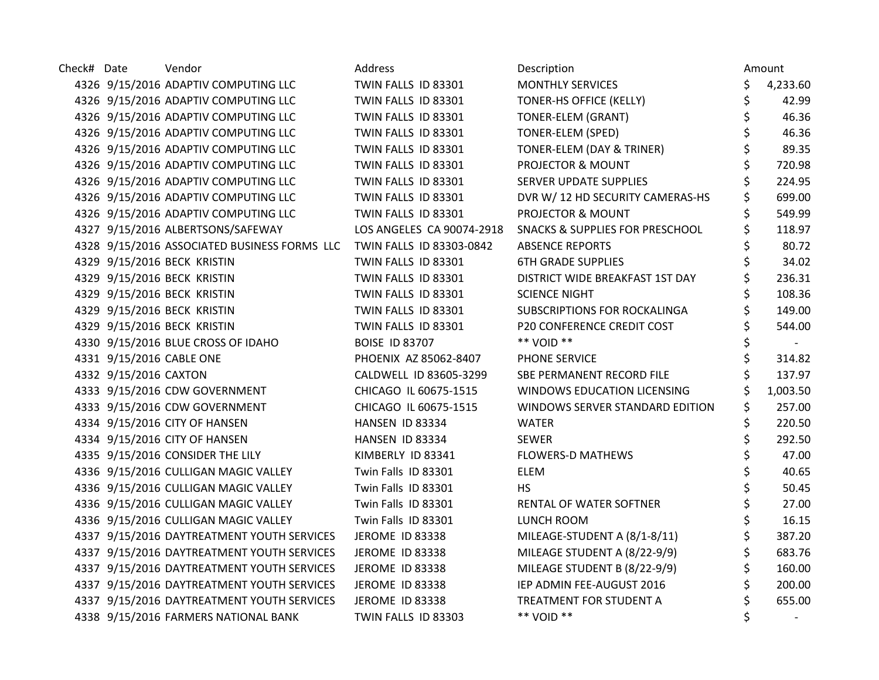| Check# Date |                       | Vendor                                                                | Address                   | Description                                | Amount         |
|-------------|-----------------------|-----------------------------------------------------------------------|---------------------------|--------------------------------------------|----------------|
|             |                       | 4326 9/15/2016 ADAPTIV COMPUTING LLC                                  | TWIN FALLS ID 83301       | <b>MONTHLY SERVICES</b>                    | \$<br>4,233.60 |
|             |                       | 4326 9/15/2016 ADAPTIV COMPUTING LLC                                  | TWIN FALLS ID 83301       | TONER-HS OFFICE (KELLY)                    | \$<br>42.99    |
|             |                       | 4326 9/15/2016 ADAPTIV COMPUTING LLC                                  | TWIN FALLS ID 83301       | <b>TONER-ELEM (GRANT)</b>                  | \$<br>46.36    |
|             |                       | 4326 9/15/2016 ADAPTIV COMPUTING LLC                                  | TWIN FALLS ID 83301       | TONER-ELEM (SPED)                          | 46.36          |
|             |                       | 4326 9/15/2016 ADAPTIV COMPUTING LLC                                  | TWIN FALLS ID 83301       | TONER-ELEM (DAY & TRINER)                  | 89.35          |
|             |                       | 4326 9/15/2016 ADAPTIV COMPUTING LLC                                  | TWIN FALLS ID 83301       | PROJECTOR & MOUNT                          | \$<br>720.98   |
|             |                       | 4326 9/15/2016 ADAPTIV COMPUTING LLC                                  | TWIN FALLS ID 83301       | SERVER UPDATE SUPPLIES                     | 224.95         |
|             |                       | 4326 9/15/2016 ADAPTIV COMPUTING LLC                                  | TWIN FALLS ID 83301       | DVR W/ 12 HD SECURITY CAMERAS-HS           | 699.00         |
|             |                       | 4326 9/15/2016 ADAPTIV COMPUTING LLC                                  | TWIN FALLS ID 83301       | PROJECTOR & MOUNT                          | 549.99         |
|             |                       | 4327 9/15/2016 ALBERTSONS/SAFEWAY                                     | LOS ANGELES CA 90074-2918 | <b>SNACKS &amp; SUPPLIES FOR PRESCHOOL</b> | 118.97         |
|             |                       | 4328 9/15/2016 ASSOCIATED BUSINESS FORMS LLC TWIN FALLS ID 83303-0842 |                           | <b>ABSENCE REPORTS</b>                     | 80.72          |
|             |                       | 4329 9/15/2016 BECK KRISTIN                                           | TWIN FALLS ID 83301       | <b>6TH GRADE SUPPLIES</b>                  | 34.02          |
|             |                       | 4329 9/15/2016 BECK KRISTIN                                           | TWIN FALLS ID 83301       | DISTRICT WIDE BREAKFAST 1ST DAY            | 236.31         |
|             |                       | 4329 9/15/2016 BECK KRISTIN                                           | TWIN FALLS ID 83301       | <b>SCIENCE NIGHT</b>                       | 108.36         |
|             |                       | 4329 9/15/2016 BECK KRISTIN                                           | TWIN FALLS ID 83301       | SUBSCRIPTIONS FOR ROCKALINGA               | 149.00         |
|             |                       | 4329 9/15/2016 BECK KRISTIN                                           | TWIN FALLS ID 83301       | P20 CONFERENCE CREDIT COST                 | 544.00         |
|             |                       | 4330 9/15/2016 BLUE CROSS OF IDAHO                                    | <b>BOISE ID 83707</b>     | ** VOID **                                 |                |
|             |                       | 4331 9/15/2016 CABLE ONE                                              | PHOENIX AZ 85062-8407     | PHONE SERVICE                              | 314.82         |
|             | 4332 9/15/2016 CAXTON |                                                                       | CALDWELL ID 83605-3299    | SBE PERMANENT RECORD FILE                  | 137.97         |
|             |                       | 4333 9/15/2016 CDW GOVERNMENT                                         | CHICAGO IL 60675-1515     | WINDOWS EDUCATION LICENSING                | 1,003.50       |
|             |                       | 4333 9/15/2016 CDW GOVERNMENT                                         | CHICAGO IL 60675-1515     | WINDOWS SERVER STANDARD EDITION            | 257.00         |
|             |                       | 4334 9/15/2016 CITY OF HANSEN                                         | HANSEN ID 83334           | <b>WATER</b>                               | 220.50         |
|             |                       | 4334 9/15/2016 CITY OF HANSEN                                         | HANSEN ID 83334           | <b>SEWER</b>                               | 292.50         |
|             |                       | 4335 9/15/2016 CONSIDER THE LILY                                      | KIMBERLY ID 83341         | <b>FLOWERS-D MATHEWS</b>                   | 47.00          |
|             |                       | 4336 9/15/2016 CULLIGAN MAGIC VALLEY                                  | Twin Falls ID 83301       | <b>ELEM</b>                                | \$<br>40.65    |
|             |                       | 4336 9/15/2016 CULLIGAN MAGIC VALLEY                                  | Twin Falls ID 83301       | <b>HS</b>                                  | 50.45          |
|             |                       | 4336 9/15/2016 CULLIGAN MAGIC VALLEY                                  | Twin Falls ID 83301       | RENTAL OF WATER SOFTNER                    | \$<br>27.00    |
|             |                       | 4336 9/15/2016 CULLIGAN MAGIC VALLEY                                  | Twin Falls ID 83301       | LUNCH ROOM                                 | \$<br>16.15    |
|             |                       | 4337 9/15/2016 DAYTREATMENT YOUTH SERVICES                            | <b>JEROME ID 83338</b>    | MILEAGE-STUDENT A (8/1-8/11)               | \$<br>387.20   |
|             |                       | 4337 9/15/2016 DAYTREATMENT YOUTH SERVICES                            | JEROME ID 83338           | MILEAGE STUDENT A (8/22-9/9)               | 683.76         |
|             |                       | 4337 9/15/2016 DAYTREATMENT YOUTH SERVICES                            | JEROME ID 83338           | MILEAGE STUDENT B (8/22-9/9)               | 160.00         |
|             |                       | 4337 9/15/2016 DAYTREATMENT YOUTH SERVICES                            | <b>JEROME ID 83338</b>    | IEP ADMIN FEE-AUGUST 2016                  | 200.00         |
|             |                       | 4337 9/15/2016 DAYTREATMENT YOUTH SERVICES                            | <b>JEROME ID 83338</b>    | TREATMENT FOR STUDENT A                    | 655.00         |
|             |                       | 4338 9/15/2016 FARMERS NATIONAL BANK                                  | TWIN FALLS ID 83303       | ** VOID **                                 |                |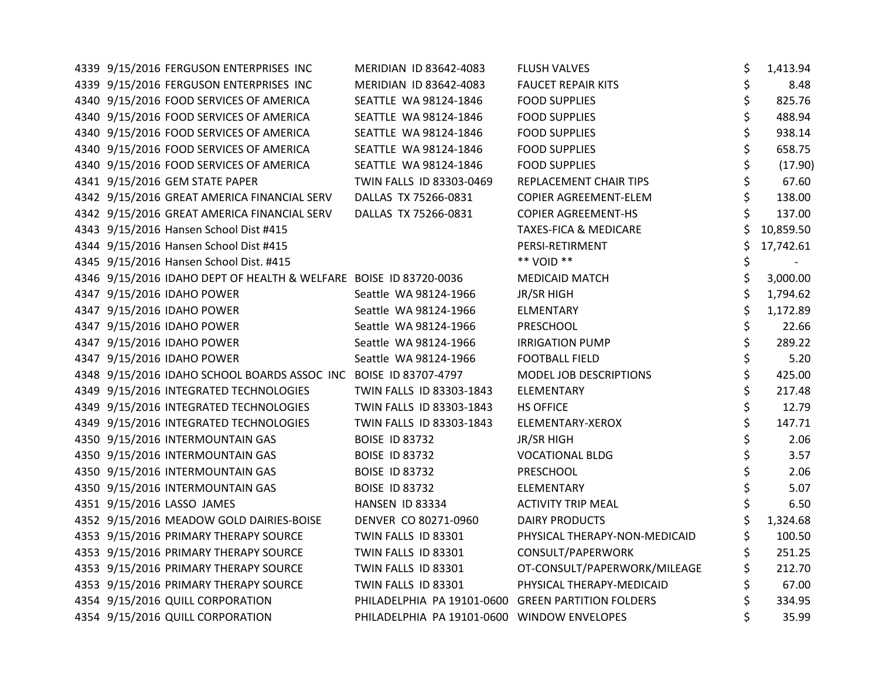| 4339 9/15/2016 FERGUSON ENTERPRISES INC                           | MERIDIAN ID 83642-4083                             | <b>FLUSH VALVES</b>              | \$<br>1,413.94 |
|-------------------------------------------------------------------|----------------------------------------------------|----------------------------------|----------------|
| 4339 9/15/2016 FERGUSON ENTERPRISES INC                           | MERIDIAN ID 83642-4083                             | <b>FAUCET REPAIR KITS</b>        | \$<br>8.48     |
| 4340 9/15/2016 FOOD SERVICES OF AMERICA                           | SEATTLE WA 98124-1846                              | <b>FOOD SUPPLIES</b>             | \$<br>825.76   |
| 4340 9/15/2016 FOOD SERVICES OF AMERICA                           | SEATTLE WA 98124-1846                              | <b>FOOD SUPPLIES</b>             | \$<br>488.94   |
| 4340 9/15/2016 FOOD SERVICES OF AMERICA                           | SEATTLE WA 98124-1846                              | <b>FOOD SUPPLIES</b>             | \$<br>938.14   |
| 4340 9/15/2016 FOOD SERVICES OF AMERICA                           | SEATTLE WA 98124-1846                              | <b>FOOD SUPPLIES</b>             | \$<br>658.75   |
| 4340 9/15/2016 FOOD SERVICES OF AMERICA                           | SEATTLE WA 98124-1846                              | <b>FOOD SUPPLIES</b>             | \$<br>(17.90)  |
| 4341 9/15/2016 GEM STATE PAPER                                    | TWIN FALLS ID 83303-0469                           | REPLACEMENT CHAIR TIPS           | \$<br>67.60    |
| 4342 9/15/2016 GREAT AMERICA FINANCIAL SERV                       | DALLAS TX 75266-0831                               | COPIER AGREEMENT-ELEM            | \$<br>138.00   |
| 4342 9/15/2016 GREAT AMERICA FINANCIAL SERV                       | DALLAS TX 75266-0831                               | <b>COPIER AGREEMENT-HS</b>       | \$<br>137.00   |
| 4343 9/15/2016 Hansen School Dist #415                            |                                                    | <b>TAXES-FICA &amp; MEDICARE</b> | 10,859.50      |
| 4344 9/15/2016 Hansen School Dist #415                            |                                                    | PERSI-RETIRMENT                  | 17,742.61      |
| 4345 9/15/2016 Hansen School Dist. #415                           |                                                    | ** VOID **                       | \$             |
| 4346 9/15/2016 IDAHO DEPT OF HEALTH & WELFARE BOISE ID 83720-0036 |                                                    | <b>MEDICAID MATCH</b>            | \$<br>3,000.00 |
| 4347 9/15/2016 IDAHO POWER                                        | Seattle WA 98124-1966                              | JR/SR HIGH                       | \$<br>1,794.62 |
| 4347 9/15/2016 IDAHO POWER                                        | Seattle WA 98124-1966                              | <b>ELMENTARY</b>                 | \$<br>1,172.89 |
| 4347 9/15/2016 IDAHO POWER                                        | Seattle WA 98124-1966                              | PRESCHOOL                        | \$<br>22.66    |
| 4347 9/15/2016 IDAHO POWER                                        | Seattle WA 98124-1966                              | <b>IRRIGATION PUMP</b>           | \$<br>289.22   |
| 4347 9/15/2016 IDAHO POWER                                        | Seattle WA 98124-1966                              | <b>FOOTBALL FIELD</b>            | \$<br>5.20     |
| 4348 9/15/2016 IDAHO SCHOOL BOARDS ASSOC INC BOISE ID 83707-4797  |                                                    | MODEL JOB DESCRIPTIONS           | \$<br>425.00   |
| 4349 9/15/2016 INTEGRATED TECHNOLOGIES                            | TWIN FALLS ID 83303-1843                           | <b>ELEMENTARY</b>                | \$<br>217.48   |
| 4349 9/15/2016 INTEGRATED TECHNOLOGIES                            | TWIN FALLS ID 83303-1843                           | <b>HS OFFICE</b>                 | \$<br>12.79    |
| 4349 9/15/2016 INTEGRATED TECHNOLOGIES                            | TWIN FALLS ID 83303-1843                           | ELEMENTARY-XEROX                 | \$<br>147.71   |
| 4350 9/15/2016 INTERMOUNTAIN GAS                                  | <b>BOISE ID 83732</b>                              | <b>JR/SR HIGH</b>                | \$<br>2.06     |
| 4350 9/15/2016 INTERMOUNTAIN GAS                                  | <b>BOISE ID 83732</b>                              | <b>VOCATIONAL BLDG</b>           | \$<br>3.57     |
| 4350 9/15/2016 INTERMOUNTAIN GAS                                  | <b>BOISE ID 83732</b>                              | PRESCHOOL                        | \$<br>2.06     |
| 4350 9/15/2016 INTERMOUNTAIN GAS                                  | <b>BOISE ID 83732</b>                              | <b>ELEMENTARY</b>                | \$<br>5.07     |
| 4351 9/15/2016 LASSO JAMES                                        | HANSEN ID 83334                                    | <b>ACTIVITY TRIP MEAL</b>        | \$<br>6.50     |
| 4352 9/15/2016 MEADOW GOLD DAIRIES-BOISE                          | DENVER CO 80271-0960                               | <b>DAIRY PRODUCTS</b>            | \$<br>1,324.68 |
| 4353 9/15/2016 PRIMARY THERAPY SOURCE                             | TWIN FALLS ID 83301                                | PHYSICAL THERAPY-NON-MEDICAID    | \$<br>100.50   |
| 4353 9/15/2016 PRIMARY THERAPY SOURCE                             | TWIN FALLS ID 83301                                | CONSULT/PAPERWORK                | 251.25         |
| 4353 9/15/2016 PRIMARY THERAPY SOURCE                             | TWIN FALLS ID 83301                                | OT-CONSULT/PAPERWORK/MILEAGE     | \$<br>212.70   |
| 4353 9/15/2016 PRIMARY THERAPY SOURCE                             | TWIN FALLS ID 83301                                | PHYSICAL THERAPY-MEDICAID        | \$<br>67.00    |
| 4354 9/15/2016 QUILL CORPORATION                                  | PHILADELPHIA PA 19101-0600 GREEN PARTITION FOLDERS |                                  | \$<br>334.95   |
| 4354 9/15/2016 QUILL CORPORATION                                  | PHILADELPHIA PA 19101-0600 WINDOW ENVELOPES        |                                  | \$<br>35.99    |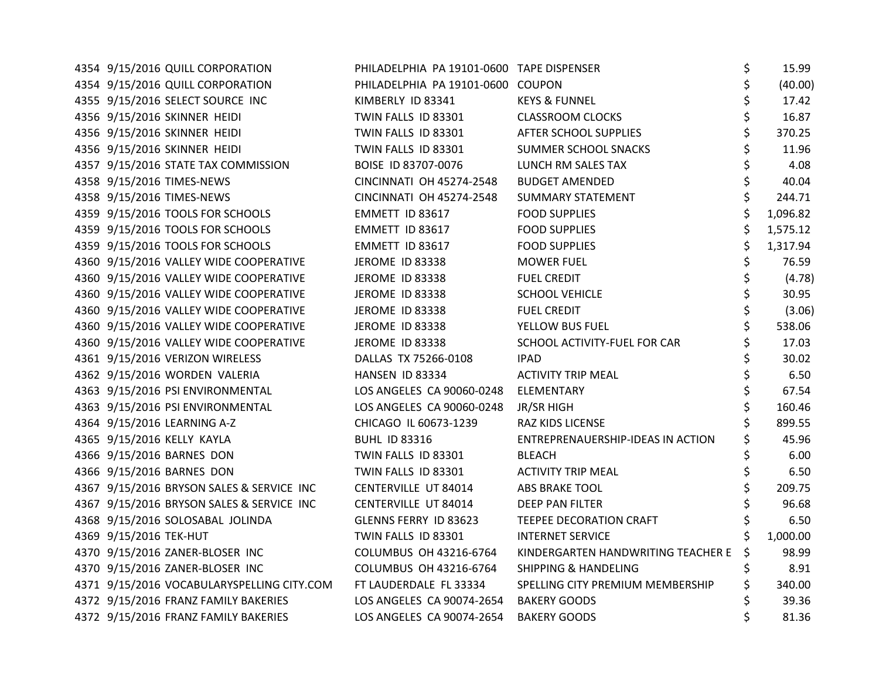| 4354 9/15/2016 QUILL CORPORATION           | PHILADELPHIA PA 19101-0600 TAPE DISPENSER |                                    | \$<br>15.99   |
|--------------------------------------------|-------------------------------------------|------------------------------------|---------------|
| 4354 9/15/2016 QUILL CORPORATION           | PHILADELPHIA PA 19101-0600 COUPON         |                                    | \$<br>(40.00) |
| 4355 9/15/2016 SELECT SOURCE INC           | KIMBERLY ID 83341                         | <b>KEYS &amp; FUNNEL</b>           | \$<br>17.42   |
| 4356 9/15/2016 SKINNER HEIDI               | TWIN FALLS ID 83301                       | <b>CLASSROOM CLOCKS</b>            | \$<br>16.87   |
| 4356 9/15/2016 SKINNER HEIDI               | TWIN FALLS ID 83301                       | AFTER SCHOOL SUPPLIES              | \$<br>370.25  |
| 4356 9/15/2016 SKINNER HEIDI               | TWIN FALLS ID 83301                       | SUMMER SCHOOL SNACKS               | 11.96         |
| 4357 9/15/2016 STATE TAX COMMISSION        | BOISE ID 83707-0076                       | LUNCH RM SALES TAX                 | \$<br>4.08    |
| 4358 9/15/2016 TIMES-NEWS                  | <b>CINCINNATI OH 45274-2548</b>           | <b>BUDGET AMENDED</b>              | \$<br>40.04   |
| 4358 9/15/2016 TIMES-NEWS                  | <b>CINCINNATI OH 45274-2548</b>           | <b>SUMMARY STATEMENT</b>           | \$<br>244.71  |
| 4359 9/15/2016 TOOLS FOR SCHOOLS           | EMMETT ID 83617                           | <b>FOOD SUPPLIES</b>               | 1,096.82      |
| 4359 9/15/2016 TOOLS FOR SCHOOLS           | EMMETT ID 83617                           | <b>FOOD SUPPLIES</b>               | 1,575.12      |
| 4359 9/15/2016 TOOLS FOR SCHOOLS           | EMMETT ID 83617                           | <b>FOOD SUPPLIES</b>               | 1,317.94      |
| 4360 9/15/2016 VALLEY WIDE COOPERATIVE     | <b>JEROME ID 83338</b>                    | <b>MOWER FUEL</b>                  | \$<br>76.59   |
| 4360 9/15/2016 VALLEY WIDE COOPERATIVE     | JEROME ID 83338                           | <b>FUEL CREDIT</b>                 | \$<br>(4.78)  |
| 4360 9/15/2016 VALLEY WIDE COOPERATIVE     | <b>JEROME ID 83338</b>                    | <b>SCHOOL VEHICLE</b>              | \$<br>30.95   |
| 4360 9/15/2016 VALLEY WIDE COOPERATIVE     | JEROME ID 83338                           | <b>FUEL CREDIT</b>                 | \$<br>(3.06)  |
| 4360 9/15/2016 VALLEY WIDE COOPERATIVE     | <b>JEROME ID 83338</b>                    | YELLOW BUS FUEL                    | \$<br>538.06  |
| 4360 9/15/2016 VALLEY WIDE COOPERATIVE     | JEROME ID 83338                           | SCHOOL ACTIVITY-FUEL FOR CAR       | 17.03         |
| 4361 9/15/2016 VERIZON WIRELESS            | DALLAS TX 75266-0108                      | <b>IPAD</b>                        | 30.02         |
| 4362 9/15/2016 WORDEN VALERIA              | HANSEN ID 83334                           | <b>ACTIVITY TRIP MEAL</b>          | 6.50          |
| 4363 9/15/2016 PSI ENVIRONMENTAL           | LOS ANGELES CA 90060-0248                 | ELEMENTARY                         | \$<br>67.54   |
| 4363 9/15/2016 PSI ENVIRONMENTAL           | LOS ANGELES CA 90060-0248                 | JR/SR HIGH                         | \$<br>160.46  |
| 4364 9/15/2016 LEARNING A-Z                | CHICAGO IL 60673-1239                     | RAZ KIDS LICENSE                   | 899.55        |
| 4365 9/15/2016 KELLY KAYLA                 | <b>BUHL ID 83316</b>                      | ENTREPRENAUERSHIP-IDEAS IN ACTION  | 45.96         |
| 4366 9/15/2016 BARNES DON                  | TWIN FALLS ID 83301                       | <b>BLEACH</b>                      | 6.00          |
| 4366 9/15/2016 BARNES DON                  | TWIN FALLS ID 83301                       | <b>ACTIVITY TRIP MEAL</b>          | \$<br>6.50    |
| 4367 9/15/2016 BRYSON SALES & SERVICE INC  | CENTERVILLE UT 84014                      | ABS BRAKE TOOL                     | \$<br>209.75  |
| 4367 9/15/2016 BRYSON SALES & SERVICE INC  | CENTERVILLE UT 84014                      | <b>DEEP PAN FILTER</b>             | 96.68         |
| 4368 9/15/2016 SOLOSABAL JOLINDA           | GLENNS FERRY ID 83623                     | TEEPEE DECORATION CRAFT            | \$<br>6.50    |
| 4369 9/15/2016 TEK-HUT                     | TWIN FALLS ID 83301                       | <b>INTERNET SERVICE</b>            | 1,000.00      |
| 4370 9/15/2016 ZANER-BLOSER INC            | COLUMBUS OH 43216-6764                    | KINDERGARTEN HANDWRITING TEACHER E | 98.99         |
| 4370 9/15/2016 ZANER-BLOSER INC            | COLUMBUS OH 43216-6764                    | <b>SHIPPING &amp; HANDELING</b>    | \$<br>8.91    |
| 4371 9/15/2016 VOCABULARYSPELLING CITY.COM | FT LAUDERDALE FL 33334                    | SPELLING CITY PREMIUM MEMBERSHIP   | 340.00        |
| 4372 9/15/2016 FRANZ FAMILY BAKERIES       | LOS ANGELES CA 90074-2654                 | <b>BAKERY GOODS</b>                | 39.36         |
| 4372 9/15/2016 FRANZ FAMILY BAKERIES       | LOS ANGELES CA 90074-2654                 | <b>BAKERY GOODS</b>                | 81.36         |